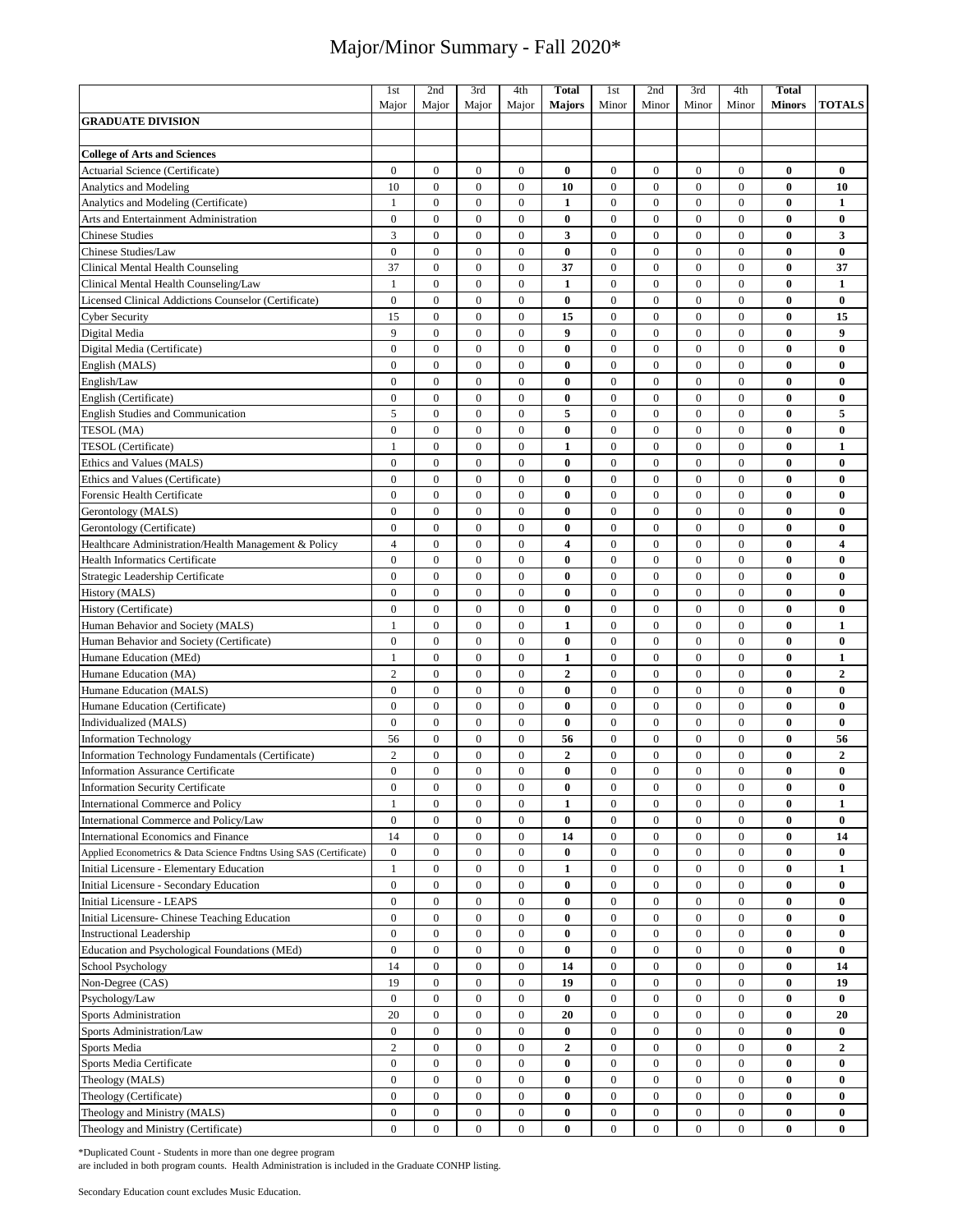|                                                                    | 1st              | 2nd              | 3rd              | 4th              | <b>Total</b>            | 1st              | 2nd              | 3rd              | 4th              | <b>Total</b>  |                  |
|--------------------------------------------------------------------|------------------|------------------|------------------|------------------|-------------------------|------------------|------------------|------------------|------------------|---------------|------------------|
|                                                                    | Major            | Major            | Major            | Major            | <b>Majors</b>           | Minor            | Minor            | Minor            | Minor            | <b>Minors</b> | <b>TOTALS</b>    |
| <b>GRADUATE DIVISION</b>                                           |                  |                  |                  |                  |                         |                  |                  |                  |                  |               |                  |
|                                                                    |                  |                  |                  |                  |                         |                  |                  |                  |                  |               |                  |
| <b>College of Arts and Sciences</b>                                |                  |                  |                  |                  |                         |                  |                  |                  |                  |               |                  |
| <b>Actuarial Science (Certificate)</b>                             | $\mathbf{0}$     | $\mathbf{0}$     | $\mathbf{0}$     | $\mathbf{0}$     | $\bf{0}$                | $\mathbf{0}$     | $\mathbf{0}$     | $\mathbf{0}$     | $\mathbf{0}$     | $\bf{0}$      | $\bf{0}$         |
| <b>Analytics and Modeling</b>                                      | 10               | $\mathbf{0}$     | $\overline{0}$   | $\mathbf{0}$     | 10                      | $\mathbf{0}$     | $\mathbf{0}$     | $\mathbf{0}$     | $\overline{0}$   | $\bf{0}$      | 10               |
| Analytics and Modeling (Certificate)                               | 1                | $\boldsymbol{0}$ | $\boldsymbol{0}$ | $\mathbf{0}$     | 1                       | $\boldsymbol{0}$ | $\mathbf{0}$     | $\mathbf{0}$     | $\overline{0}$   | $\bf{0}$      | $\mathbf{1}$     |
| Arts and Entertainment Administration                              | $\boldsymbol{0}$ | $\boldsymbol{0}$ | $\boldsymbol{0}$ | $\boldsymbol{0}$ | $\bf{0}$                | $\boldsymbol{0}$ | $\mathbf{0}$     | $\mathbf{0}$     | $\mathbf{0}$     | $\bf{0}$      | $\bf{0}$         |
| <b>Chinese Studies</b>                                             | 3                | $\mathbf{0}$     | $\mathbf{0}$     | $\mathbf{0}$     | 3                       | $\mathbf{0}$     | $\mathbf{0}$     | $\mathbf{0}$     | $\mathbf{0}$     | $\bf{0}$      | 3                |
|                                                                    |                  |                  |                  |                  |                         |                  |                  |                  |                  |               |                  |
| Chinese Studies/Law                                                | $\overline{0}$   | $\mathbf{0}$     | $\overline{0}$   | $\mathbf{0}$     | $\bf{0}$                | $\overline{0}$   | $\mathbf{0}$     | $\mathbf{0}$     | $\mathbf{0}$     | $\bf{0}$      | $\bf{0}$         |
| Clinical Mental Health Counseling                                  | 37               | $\boldsymbol{0}$ | $\boldsymbol{0}$ | $\boldsymbol{0}$ | 37                      | $\boldsymbol{0}$ | $\mathbf{0}$     | $\mathbf{0}$     | $\mathbf{0}$     | $\bf{0}$      | 37               |
| Clinical Mental Health Counseling/Law                              | $\mathbf{1}$     | $\mathbf{0}$     | $\mathbf{0}$     | $\mathbf{0}$     | $\mathbf{1}$            | $\boldsymbol{0}$ | $\mathbf{0}$     | $\mathbf{0}$     | $\mathbf{0}$     | $\bf{0}$      | $\mathbf{1}$     |
| Licensed Clinical Addictions Counselor (Certificate)               | $\boldsymbol{0}$ | $\boldsymbol{0}$ | $\boldsymbol{0}$ | $\boldsymbol{0}$ | $\bf{0}$                | $\boldsymbol{0}$ | $\mathbf{0}$     | $\mathbf{0}$     | $\overline{0}$   | $\bf{0}$      | $\bf{0}$         |
| <b>Cyber Security</b>                                              | 15               | $\mathbf{0}$     | $\overline{0}$   | $\boldsymbol{0}$ | 15                      | $\boldsymbol{0}$ | $\mathbf{0}$     | $\overline{0}$   | $\overline{0}$   | $\bf{0}$      | 15               |
| Digital Media                                                      | 9                | $\overline{0}$   | $\boldsymbol{0}$ | $\boldsymbol{0}$ | 9                       | $\boldsymbol{0}$ | $\overline{0}$   | $\mathbf{0}$     | $\overline{0}$   | $\bf{0}$      | $\boldsymbol{9}$ |
| Digital Media (Certificate)                                        | $\overline{0}$   | $\overline{0}$   | $\overline{0}$   | $\overline{0}$   | $\bf{0}$                | $\boldsymbol{0}$ | $\mathbf{0}$     | $\mathbf{0}$     | $\overline{0}$   | $\bf{0}$      | $\bf{0}$         |
| English (MALS)                                                     | $\boldsymbol{0}$ | $\boldsymbol{0}$ | $\boldsymbol{0}$ | $\boldsymbol{0}$ | $\bf{0}$                | $\boldsymbol{0}$ | $\boldsymbol{0}$ | $\boldsymbol{0}$ | $\boldsymbol{0}$ | $\bf{0}$      | $\bf{0}$         |
| English/Law                                                        | $\mathbf{0}$     | $\mathbf{0}$     | $\mathbf{0}$     | $\boldsymbol{0}$ | 0                       | $\boldsymbol{0}$ | $\mathbf{0}$     | $\mathbf{0}$     | 0                | 0             | $\bf{0}$         |
| English (Certificate)                                              | $\boldsymbol{0}$ | $\boldsymbol{0}$ | $\boldsymbol{0}$ | $\boldsymbol{0}$ | $\bf{0}$                | $\boldsymbol{0}$ | $\mathbf{0}$     | $\mathbf{0}$     | $\overline{0}$   | $\bf{0}$      | $\bf{0}$         |
| English Studies and Communication                                  | 5                | $\boldsymbol{0}$ | $\boldsymbol{0}$ | $\boldsymbol{0}$ | 5                       | $\boldsymbol{0}$ | $\mathbf{0}$     | $\mathbf{0}$     | $\mathbf{0}$     | $\bf{0}$      | 5                |
| TESOL (MA)                                                         | $\overline{0}$   | $\boldsymbol{0}$ | $\boldsymbol{0}$ | $\boldsymbol{0}$ | $\bf{0}$                | $\boldsymbol{0}$ | $\mathbf{0}$     | $\mathbf{0}$     | $\mathbf{0}$     | $\bf{0}$      | $\bf{0}$         |
| TESOL (Certificate)                                                | $\mathbf{1}$     | $\mathbf{0}$     | $\overline{0}$   | $\mathbf{0}$     | $\mathbf{1}$            | $\boldsymbol{0}$ | $\mathbf{0}$     | $\mathbf{0}$     | $\overline{0}$   | $\bf{0}$      | $\mathbf{1}$     |
| Ethics and Values (MALS)                                           | $\boldsymbol{0}$ | $\boldsymbol{0}$ | $\boldsymbol{0}$ | $\boldsymbol{0}$ | $\bf{0}$                | $\boldsymbol{0}$ | $\boldsymbol{0}$ | $\boldsymbol{0}$ | $\mathbf{0}$     | $\bf{0}$      | $\bf{0}$         |
| Ethics and Values (Certificate)                                    | $\mathbf{0}$     | $\overline{0}$   | $\overline{0}$   | $\overline{0}$   | $\bf{0}$                | $\mathbf{0}$     | $\overline{0}$   | $\mathbf{0}$     | $\overline{0}$   | $\bf{0}$      | $\bf{0}$         |
| Forensic Health Certificate                                        | $\mathbf{0}$     | $\mathbf{0}$     | $\overline{0}$   | $\boldsymbol{0}$ | $\bf{0}$                | $\boldsymbol{0}$ | $\mathbf{0}$     | $\mathbf{0}$     | $\mathbf{0}$     | $\bf{0}$      | $\bf{0}$         |
| Gerontology (MALS)                                                 | $\overline{0}$   | $\overline{0}$   | $\overline{0}$   | $\overline{0}$   | $\bf{0}$                | $\boldsymbol{0}$ | $\overline{0}$   | $\overline{0}$   | $\overline{0}$   | $\bf{0}$      | $\bf{0}$         |
| Gerontology (Certificate)                                          | $\overline{0}$   | $\overline{0}$   | $\overline{0}$   | $\overline{0}$   | $\bf{0}$                | $\overline{0}$   | $\mathbf{0}$     | $\mathbf{0}$     | $\overline{0}$   | $\bf{0}$      | $\bf{0}$         |
| Healthcare Administration/Health Management & Policy               | $\overline{4}$   | $\mathbf{0}$     | $\overline{0}$   | $\mathbf{0}$     | $\overline{\mathbf{4}}$ | $\mathbf{0}$     | $\mathbf{0}$     | $\mathbf{0}$     | $\overline{0}$   | $\bf{0}$      | 4                |
| <b>Health Informatics Certificate</b>                              | $\mathbf{0}$     | $\mathbf{0}$     | $\mathbf{0}$     | $\mathbf{0}$     | $\bf{0}$                | $\mathbf{0}$     | $\mathbf{0}$     | $\mathbf{0}$     | $\overline{0}$   | $\bf{0}$      | $\bf{0}$         |
| Strategic Leadership Certificate                                   | $\overline{0}$   | $\overline{0}$   | $\overline{0}$   | $\overline{0}$   | $\bf{0}$                | $\overline{0}$   | $\mathbf{0}$     | $\overline{0}$   | $\overline{0}$   | $\bf{0}$      | $\bf{0}$         |
| History (MALS)                                                     | $\boldsymbol{0}$ | $\boldsymbol{0}$ | $\boldsymbol{0}$ | $\boldsymbol{0}$ | $\bf{0}$                | $\boldsymbol{0}$ | $\boldsymbol{0}$ | $\mathbf{0}$     | $\overline{0}$   | $\bf{0}$      | $\bf{0}$         |
| History (Certificate)                                              | $\mathbf{0}$     | $\mathbf{0}$     | $\mathbf{0}$     | $\mathbf{0}$     | $\bf{0}$                | $\mathbf{0}$     | $\mathbf{0}$     | $\mathbf{0}$     | $\mathbf{0}$     | $\bf{0}$      | $\bf{0}$         |
| Human Behavior and Society (MALS)                                  | 1                | $\mathbf{0}$     | $\mathbf{0}$     | $\mathbf{0}$     | $\mathbf{1}$            | $\mathbf{0}$     | $\mathbf{0}$     | $\mathbf{0}$     | $\overline{0}$   | $\bf{0}$      | $\mathbf{1}$     |
| Human Behavior and Society (Certificate)                           | $\mathbf{0}$     | $\mathbf{0}$     | $\overline{0}$   | $\mathbf{0}$     | $\bf{0}$                | $\mathbf{0}$     | $\mathbf{0}$     | $\mathbf{0}$     | $\overline{0}$   | $\bf{0}$      | $\bf{0}$         |
| Humane Education (MEd)                                             | $\mathbf{1}$     | $\mathbf{0}$     | $\mathbf{0}$     | $\mathbf{0}$     | $\mathbf{1}$            | $\mathbf{0}$     | $\mathbf{0}$     | $\mathbf{0}$     | $\mathbf{0}$     | $\bf{0}$      | $\mathbf{1}$     |
|                                                                    | $\overline{2}$   | $\boldsymbol{0}$ | $\boldsymbol{0}$ | $\mathbf{0}$     | $\boldsymbol{2}$        | $\mathbf{0}$     | $\overline{0}$   | $\mathbf{0}$     | $\mathbf{0}$     | $\bf{0}$      | $\boldsymbol{2}$ |
| Humane Education (MA)                                              | $\overline{0}$   | $\boldsymbol{0}$ | $\boldsymbol{0}$ | $\boldsymbol{0}$ |                         |                  | $\mathbf{0}$     | $\mathbf{0}$     | $\mathbf{0}$     | $\bf{0}$      | $\bf{0}$         |
| Humane Education (MALS)                                            |                  |                  |                  |                  | $\bf{0}$                | $\boldsymbol{0}$ |                  |                  |                  |               |                  |
| Humane Education (Certificate)                                     | $\overline{0}$   | $\boldsymbol{0}$ | $\boldsymbol{0}$ | $\boldsymbol{0}$ | $\bf{0}$                | $\boldsymbol{0}$ | $\mathbf{0}$     | $\mathbf{0}$     | $\overline{0}$   | $\bf{0}$      | $\bf{0}$         |
| Individualized (MALS)                                              | $\mathbf{0}$     | $\overline{0}$   | $\mathbf{0}$     | $\boldsymbol{0}$ | $\bf{0}$                | $\boldsymbol{0}$ | $\boldsymbol{0}$ | $\mathbf{0}$     | $\mathbf{0}$     | $\bf{0}$      | $\bf{0}$         |
| <b>Information Technology</b>                                      | 56               | $\boldsymbol{0}$ | $\boldsymbol{0}$ | $\boldsymbol{0}$ | 56                      | $\boldsymbol{0}$ | $\mathbf{0}$     | $\mathbf{0}$     | $\overline{0}$   | $\bf{0}$      | 56               |
| Information Technology Fundamentals (Certificate)                  | $\overline{2}$   | $\boldsymbol{0}$ | $\boldsymbol{0}$ | $\boldsymbol{0}$ | $\overline{2}$          | $\overline{0}$   | $\mathbf{0}$     | $\mathbf{0}$     | $\overline{0}$   | $\bf{0}$      | $\mathbf{2}$     |
| <b>Information Assurance Certificate</b>                           | $\mathbf{0}$     | $\overline{0}$   | $\overline{0}$   | $\overline{0}$   | 0                       | $\mathbf{0}$     | $\mathbf{0}$     | $\mathbf{0}$     | $\overline{0}$   | $\bf{0}$      | $\bf{0}$         |
| <b>Information Security Certificate</b>                            | $\bf{0}$         | $\boldsymbol{0}$ | 0                | 0                | 0                       | $\bf{0}$         | 0                | $\mathbf{0}$     | 0                | $\bf{0}$      | 0                |
| International Commerce and Policy                                  | $\mathbf{1}$     | $\boldsymbol{0}$ | $\boldsymbol{0}$ | $\boldsymbol{0}$ | $\mathbf 1$             | $\boldsymbol{0}$ | $\boldsymbol{0}$ | $\boldsymbol{0}$ | $\boldsymbol{0}$ | $\bf{0}$      | $\mathbf{1}$     |
| International Commerce and Policy/Law                              | $\boldsymbol{0}$ | $\boldsymbol{0}$ | $\boldsymbol{0}$ | $\boldsymbol{0}$ | $\bf{0}$                | $\mathbf{0}$     | $\boldsymbol{0}$ | $\boldsymbol{0}$ | 0                | $\bf{0}$      | $\bf{0}$         |
| International Economics and Finance                                | 14               | $\boldsymbol{0}$ | $\boldsymbol{0}$ | $\boldsymbol{0}$ | 14                      | $\boldsymbol{0}$ | $\boldsymbol{0}$ | $\boldsymbol{0}$ | $\overline{0}$   | $\bf{0}$      | 14               |
| Applied Econometrics & Data Science Fndtns Using SAS (Certificate) | $\mathbf{0}$     | $\boldsymbol{0}$ | $\boldsymbol{0}$ | $\boldsymbol{0}$ | $\bf{0}$                | $\boldsymbol{0}$ | $\boldsymbol{0}$ | $\boldsymbol{0}$ | 0                | $\bf{0}$      | $\bf{0}$         |
| Initial Licensure - Elementary Education                           | $\mathbf{1}$     | $\boldsymbol{0}$ | $\boldsymbol{0}$ | $\boldsymbol{0}$ | 1                       | $\mathbf{0}$     | $\mathbf{0}$     | $\mathbf{0}$     | 0                | $\bf{0}$      | 1                |
| Initial Licensure - Secondary Education                            | $\boldsymbol{0}$ | $\boldsymbol{0}$ | $\boldsymbol{0}$ | $\boldsymbol{0}$ | $\bf{0}$                | $\boldsymbol{0}$ | $\boldsymbol{0}$ | $\boldsymbol{0}$ | 0                | $\bf{0}$      | $\bf{0}$         |
| Initial Licensure - LEAPS                                          | $\boldsymbol{0}$ | $\boldsymbol{0}$ | $\boldsymbol{0}$ | $\boldsymbol{0}$ | $\bf{0}$                | $\boldsymbol{0}$ | $\boldsymbol{0}$ | $\boldsymbol{0}$ | $\overline{0}$   | $\bf{0}$      | $\bf{0}$         |
| Initial Licensure- Chinese Teaching Education                      | $\mathbf{0}$     | $\boldsymbol{0}$ | $\boldsymbol{0}$ | $\boldsymbol{0}$ | $\bf{0}$                | $\boldsymbol{0}$ | $\mathbf{0}$     | $\boldsymbol{0}$ | $\overline{0}$   | $\bf{0}$      | $\bf{0}$         |
| <b>Instructional Leadership</b>                                    | $\boldsymbol{0}$ | $\boldsymbol{0}$ | $\boldsymbol{0}$ | $\boldsymbol{0}$ | $\bf{0}$                | $\boldsymbol{0}$ | $\boldsymbol{0}$ | $\boldsymbol{0}$ | 0                | $\bf{0}$      | $\bf{0}$         |
| Education and Psychological Foundations (MEd)                      | $\overline{0}$   | $\boldsymbol{0}$ | $\boldsymbol{0}$ | $\boldsymbol{0}$ | $\bf{0}$                | $\boldsymbol{0}$ | $\boldsymbol{0}$ | $\mathbf{0}$     | $\overline{0}$   | $\bf{0}$      | $\bf{0}$         |
| School Psychology                                                  | 14               | $\boldsymbol{0}$ | $\boldsymbol{0}$ | $\boldsymbol{0}$ | 14                      | $\boldsymbol{0}$ | $\boldsymbol{0}$ | $\boldsymbol{0}$ | $\overline{0}$   | $\bf{0}$      | 14               |
| Non-Degree (CAS)                                                   | 19               | $\boldsymbol{0}$ | $\boldsymbol{0}$ | $\boldsymbol{0}$ | 19                      | $\boldsymbol{0}$ | $\boldsymbol{0}$ | $\mathbf{0}$     | $\mathbf{0}$     | $\bf{0}$      | 19               |
| Psychology/Law                                                     | $\boldsymbol{0}$ | $\boldsymbol{0}$ | $\boldsymbol{0}$ | $\boldsymbol{0}$ | $\bf{0}$                | $\boldsymbol{0}$ | $\mathbf{0}$     | $\mathbf{0}$     | $\overline{0}$   | $\bf{0}$      | $\bf{0}$         |
| Sports Administration                                              | 20               | $\boldsymbol{0}$ | $\boldsymbol{0}$ | $\boldsymbol{0}$ | 20                      | $\boldsymbol{0}$ | $\boldsymbol{0}$ | $\boldsymbol{0}$ | $\boldsymbol{0}$ | $\bf{0}$      | 20               |
| Sports Administration/Law                                          | $\boldsymbol{0}$ | $\boldsymbol{0}$ | $\boldsymbol{0}$ | $\boldsymbol{0}$ | $\bf{0}$                | $\boldsymbol{0}$ | $\boldsymbol{0}$ | $\boldsymbol{0}$ | $\overline{0}$   | $\bf{0}$      | $\bf{0}$         |
| Sports Media                                                       | $\sqrt{2}$       | $\boldsymbol{0}$ | 0                | $\boldsymbol{0}$ | $\boldsymbol{2}$        | $\boldsymbol{0}$ | $\mathbf{0}$     | $\mathbf{0}$     | 0                | $\bf{0}$      | $\boldsymbol{2}$ |
| Sports Media Certificate                                           | $\boldsymbol{0}$ | $\boldsymbol{0}$ | $\boldsymbol{0}$ | $\boldsymbol{0}$ | $\bf{0}$                | $\bf{0}$         | $\mathbf{0}$     | $\mathbf{0}$     | $\overline{0}$   | $\bf{0}$      | $\bf{0}$         |
| Theology (MALS)                                                    | $\boldsymbol{0}$ | $\bf{0}$         | $\boldsymbol{0}$ | $\boldsymbol{0}$ | $\bf{0}$                | $\boldsymbol{0}$ | $\boldsymbol{0}$ | $\mathbf{0}$     | $\overline{0}$   | $\bf{0}$      | $\bf{0}$         |
| Theology (Certificate)                                             | $\bf{0}$         | $\bf{0}$         | $\boldsymbol{0}$ | $\bf{0}$         | $\bf{0}$                | $\bf{0}$         | $\boldsymbol{0}$ | $\mathbf{0}$     | $\boldsymbol{0}$ | $\bf{0}$      | $\bf{0}$         |
| Theology and Ministry (MALS)                                       | $\bf{0}$         | $\boldsymbol{0}$ | $\boldsymbol{0}$ | $\boldsymbol{0}$ | $\bf{0}$                | $\bf{0}$         | $\boldsymbol{0}$ | $\bf{0}$         | 0                | $\bf{0}$      | $\bf{0}$         |
| Theology and Ministry (Certificate)                                | $\bf{0}$         | $\bf{0}$         | $\mathbf{0}$     | $\bf{0}$         | $\bf{0}$                | $\bf{0}$         | $\boldsymbol{0}$ | $\bf{0}$         | $\bf{0}$         | $\bf{0}$      | $\bf{0}$         |

\*Duplicated Count - Students in more than one degree program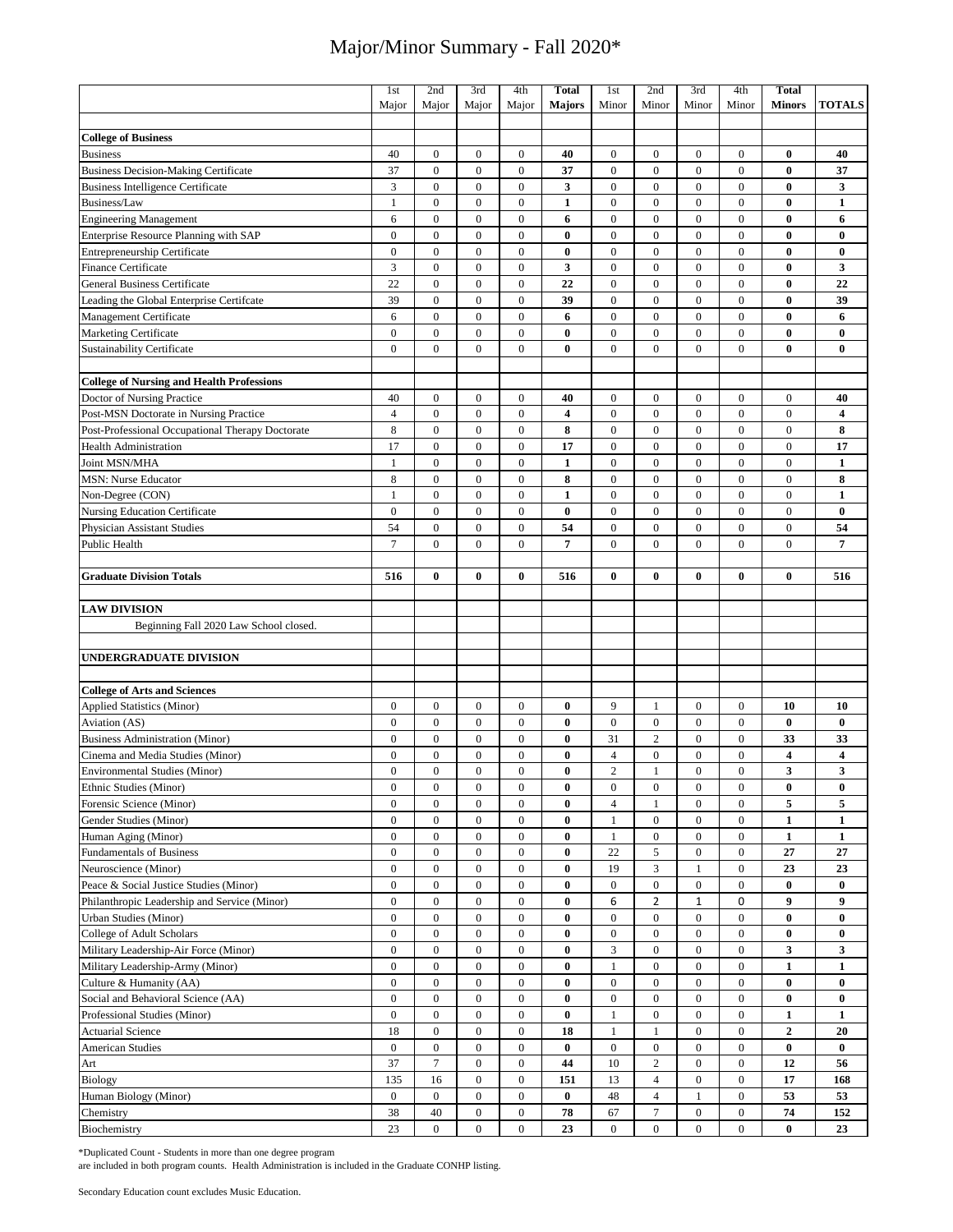|                                                  | 1st              | 2nd              | 3rd              | 4th              | <b>Total</b>            | 1st              | 2nd              | 3rd              | 4th              | <b>Total</b>            |                         |
|--------------------------------------------------|------------------|------------------|------------------|------------------|-------------------------|------------------|------------------|------------------|------------------|-------------------------|-------------------------|
|                                                  | Major            | Major            | Major            | Major            | <b>Majors</b>           | Minor            | Minor            | Minor            | Minor            | <b>Minors</b>           | <b>TOTALS</b>           |
|                                                  |                  |                  |                  |                  |                         |                  |                  |                  |                  |                         |                         |
| <b>College of Business</b>                       |                  |                  |                  |                  |                         |                  |                  |                  |                  |                         |                         |
| <b>Business</b>                                  | 40               | $\boldsymbol{0}$ | $\mathbf{0}$     | $\boldsymbol{0}$ | 40                      | $\boldsymbol{0}$ | $\mathbf{0}$     | $\mathbf{0}$     | $\mathbf{0}$     | $\bf{0}$                | 40                      |
| <b>Business Decision-Making Certificate</b>      | 37               | $\mathbf{0}$     | $\mathbf{0}$     | $\overline{0}$   | 37                      | $\mathbf{0}$     | $\mathbf{0}$     | $\mathbf{0}$     | $\mathbf{0}$     | $\bf{0}$                | 37                      |
| <b>Business Intelligence Certificate</b>         | 3                | $\boldsymbol{0}$ | $\boldsymbol{0}$ | $\boldsymbol{0}$ | 3                       | $\boldsymbol{0}$ | $\boldsymbol{0}$ | $\mathbf{0}$     | $\mathbf{0}$     | $\bf{0}$                | 3                       |
| Business/Law                                     | $\mathbf{1}$     | $\overline{0}$   | $\overline{0}$   | $\overline{0}$   | $\mathbf{1}$            | $\boldsymbol{0}$ | $\overline{0}$   | $\overline{0}$   | $\overline{0}$   | $\bf{0}$                | $\mathbf{1}$            |
| <b>Engineering Management</b>                    | 6                | $\boldsymbol{0}$ | $\boldsymbol{0}$ | $\boldsymbol{0}$ | 6                       | $\boldsymbol{0}$ | $\mathbf{0}$     | $\mathbf{0}$     | $\mathbf{0}$     | $\bf{0}$                | 6                       |
| Enterprise Resource Planning with SAP            | $\overline{0}$   | $\mathbf{0}$     | $\boldsymbol{0}$ | $\boldsymbol{0}$ | $\bf{0}$                | $\boldsymbol{0}$ | $\mathbf{0}$     | $\mathbf{0}$     | $\mathbf{0}$     | $\bf{0}$                | $\bf{0}$                |
| <b>Entrepreneurship Certificate</b>              | $\overline{0}$   | $\mathbf{0}$     | $\mathbf{0}$     | $\mathbf{0}$     | $\bf{0}$                | $\mathbf{0}$     | $\mathbf{0}$     | $\mathbf{0}$     | $\mathbf{0}$     | $\bf{0}$                | $\bf{0}$                |
| Finance Certificate                              | 3                | $\mathbf{0}$     | $\overline{0}$   | $\overline{0}$   | 3                       | $\mathbf{0}$     | $\mathbf{0}$     | $\mathbf{0}$     | $\mathbf{0}$     | $\bf{0}$                | 3                       |
| <b>General Business Certificate</b>              |                  |                  |                  |                  |                         |                  |                  | $\mathbf{0}$     | $\mathbf{0}$     | $\bf{0}$                |                         |
|                                                  | 22               | $\boldsymbol{0}$ | $\boldsymbol{0}$ | $\boldsymbol{0}$ | 22                      | $\boldsymbol{0}$ | $\boldsymbol{0}$ |                  |                  |                         | 22                      |
| Leading the Global Enterprise Certifcate         | 39               | $\mathbf{0}$     | $\mathbf{0}$     | $\mathbf{0}$     | 39                      | $\boldsymbol{0}$ | $\mathbf{0}$     | $\mathbf{0}$     | $\mathbf{0}$     | $\bf{0}$                | 39                      |
| Management Certificate                           | 6                | $\mathbf{0}$     | $\mathbf{0}$     | $\boldsymbol{0}$ | 6                       | $\mathbf{0}$     | $\mathbf{0}$     | $\mathbf{0}$     | $\mathbf{0}$     | $\bf{0}$                | 6                       |
| Marketing Certificate                            | $\overline{0}$   | $\boldsymbol{0}$ | $\boldsymbol{0}$ | $\boldsymbol{0}$ | $\bf{0}$                | $\mathbf{0}$     | $\mathbf{0}$     | $\mathbf{0}$     | $\mathbf{0}$     | $\bf{0}$                | $\bf{0}$                |
| Sustainability Certificate                       | $\overline{0}$   | $\boldsymbol{0}$ | $\boldsymbol{0}$ | $\boldsymbol{0}$ | $\bf{0}$                | $\mathbf{0}$     | $\mathbf{0}$     | $\mathbf{0}$     | $\mathbf{0}$     | $\bf{0}$                | $\bf{0}$                |
|                                                  |                  |                  |                  |                  |                         |                  |                  |                  |                  |                         |                         |
| <b>College of Nursing and Health Professions</b> |                  |                  |                  |                  |                         |                  |                  |                  |                  |                         |                         |
| Doctor of Nursing Practice                       | 40               | $\boldsymbol{0}$ | $\boldsymbol{0}$ | $\boldsymbol{0}$ | 40                      | $\boldsymbol{0}$ | $\boldsymbol{0}$ | $\mathbf{0}$     | $\mathbf{0}$     | $\boldsymbol{0}$        | 40                      |
| Post-MSN Doctorate in Nursing Practice           | 4                | $\mathbf{0}$     | $\boldsymbol{0}$ | $\boldsymbol{0}$ | $\overline{\mathbf{4}}$ | $\boldsymbol{0}$ | $\boldsymbol{0}$ | $\mathbf{0}$     | $\mathbf{0}$     | $\mathbf{0}$            | $\overline{\mathbf{4}}$ |
| Post-Professional Occupational Therapy Doctorate | 8                | $\boldsymbol{0}$ | $\boldsymbol{0}$ | $\boldsymbol{0}$ | 8                       | $\boldsymbol{0}$ | $\mathbf{0}$     | $\mathbf{0}$     | $\overline{0}$   | $\boldsymbol{0}$        | 8                       |
| <b>Health Administration</b>                     | 17               | $\boldsymbol{0}$ | $\boldsymbol{0}$ | $\boldsymbol{0}$ | 17                      | $\boldsymbol{0}$ | $\mathbf{0}$     | $\overline{0}$   | $\mathbf{0}$     | $\mathbf{0}$            | 17                      |
| Joint MSN/MHA                                    | $\mathbf{1}$     | $\boldsymbol{0}$ | $\boldsymbol{0}$ | $\boldsymbol{0}$ | $\mathbf{1}$            | $\boldsymbol{0}$ | $\mathbf{0}$     | $\overline{0}$   | $\overline{0}$   | $\mathbf{0}$            | $\mathbf{1}$            |
| <b>MSN: Nurse Educator</b>                       | 8                | $\boldsymbol{0}$ | $\boldsymbol{0}$ | $\boldsymbol{0}$ | 8                       | $\boldsymbol{0}$ | $\boldsymbol{0}$ | $\mathbf{0}$     | $\overline{0}$   | $\boldsymbol{0}$        | 8                       |
| Non-Degree (CON)                                 | $\mathbf{1}$     | $\boldsymbol{0}$ | $\boldsymbol{0}$ | $\boldsymbol{0}$ | $\mathbf{1}$            | $\boldsymbol{0}$ | $\boldsymbol{0}$ | $\boldsymbol{0}$ | $\boldsymbol{0}$ | $\boldsymbol{0}$        | $\mathbf{1}$            |
| <b>Nursing Education Certificate</b>             | $\mathbf{0}$     | $\boldsymbol{0}$ | $\boldsymbol{0}$ | $\boldsymbol{0}$ | 0                       | $\boldsymbol{0}$ | $\boldsymbol{0}$ | $\mathbf{0}$     | $\mathbf{0}$     | $\mathbf{0}$            | $\bf{0}$                |
| Physician Assistant Studies                      | 54               | $\boldsymbol{0}$ | $\boldsymbol{0}$ | $\boldsymbol{0}$ | 54                      | $\boldsymbol{0}$ | $\boldsymbol{0}$ | $\boldsymbol{0}$ | $\boldsymbol{0}$ | $\overline{0}$          | 54                      |
| Public Health                                    | $\tau$           | $\mathbf{0}$     | $\mathbf{0}$     | $\mathbf{0}$     | 7                       | $\mathbf{0}$     | $\mathbf{0}$     | $\mathbf{0}$     | $\mathbf{0}$     | $\mathbf{0}$            | 7                       |
|                                                  |                  |                  |                  |                  |                         |                  |                  |                  |                  |                         |                         |
| <b>Graduate Division Totals</b>                  | 516              | $\bf{0}$         | $\bf{0}$         | $\bf{0}$         | 516                     | $\bf{0}$         | $\mathbf{0}$     | $\mathbf{0}$     | 0                | $\bf{0}$                | 516                     |
|                                                  |                  |                  |                  |                  |                         |                  |                  |                  |                  |                         |                         |
| <b>LAW DIVISION</b>                              |                  |                  |                  |                  |                         |                  |                  |                  |                  |                         |                         |
| Beginning Fall 2020 Law School closed.           |                  |                  |                  |                  |                         |                  |                  |                  |                  |                         |                         |
|                                                  |                  |                  |                  |                  |                         |                  |                  |                  |                  |                         |                         |
| UNDERGRADUATE DIVISION                           |                  |                  |                  |                  |                         |                  |                  |                  |                  |                         |                         |
|                                                  |                  |                  |                  |                  |                         |                  |                  |                  |                  |                         |                         |
| <b>College of Arts and Sciences</b>              |                  |                  |                  |                  |                         |                  |                  |                  |                  |                         |                         |
|                                                  | $\mathbf{0}$     |                  |                  |                  |                         | 9                |                  | $\mathbf{0}$     | $\mathbf{0}$     |                         |                         |
| Applied Statistics (Minor)                       |                  | $\boldsymbol{0}$ | $\boldsymbol{0}$ | $\boldsymbol{0}$ | 0                       |                  | 1                |                  |                  | 10                      | 10                      |
| Aviation (AS)                                    | $\boldsymbol{0}$ | $\boldsymbol{0}$ | $\boldsymbol{0}$ | $\boldsymbol{0}$ | $\bf{0}$                | $\boldsymbol{0}$ | $\boldsymbol{0}$ | $\mathbf{0}$     | $\mathbf{0}$     | $\bf{0}$                | $\bf{0}$                |
| <b>Business Administration (Minor)</b>           | $\mathbf{0}$     | $\mathbf{0}$     | $\boldsymbol{0}$ | $\boldsymbol{0}$ | 0                       | 31               | $\overline{c}$   | $\mathbf{0}$     | $\mathbf{0}$     | 33                      | 33                      |
| Cinema and Media Studies (Minor)                 | $\overline{0}$   | $\boldsymbol{0}$ | $\boldsymbol{0}$ | $\boldsymbol{0}$ | 0                       | $\overline{4}$   | $\mathbf{0}$     | $\mathbf{0}$     | $\mathbf{0}$     | $\overline{\mathbf{4}}$ | 4                       |
| <b>Environmental Studies (Minor)</b>             | $\mathbf{0}$     | $\mathbf{0}$     | $\mathbf{0}$     | $\mathbf{0}$     | $\bf{0}$                | $\overline{c}$   | 1                | $\mathbf{0}$     | $\mathbf{0}$     | 3                       | 3                       |
| Ethnic Studies (Minor)                           | 0                | $\boldsymbol{0}$ | $\boldsymbol{0}$ | $\boldsymbol{0}$ | 0                       | $\boldsymbol{0}$ | $\boldsymbol{0}$ | $\boldsymbol{0}$ | $\bf{0}$         | $\bf{0}$                | $\bf{0}$                |
| Forensic Science (Minor)                         | $\boldsymbol{0}$ | $\boldsymbol{0}$ | $\boldsymbol{0}$ | $\boldsymbol{0}$ | $\bf{0}$                | $\overline{4}$   | $\mathbf{1}$     | $\boldsymbol{0}$ | $\boldsymbol{0}$ | 5                       | 5                       |
| Gender Studies (Minor)                           | $\overline{0}$   | $\boldsymbol{0}$ | $\boldsymbol{0}$ | $\mathbf{0}$     | $\bf{0}$                | 1                | $\boldsymbol{0}$ | $\boldsymbol{0}$ | $\boldsymbol{0}$ | $\mathbf{1}$            | 1                       |
| Human Aging (Minor)                              | $\boldsymbol{0}$ | $\boldsymbol{0}$ | $\boldsymbol{0}$ | $\boldsymbol{0}$ | $\bf{0}$                | $\mathbf{1}$     | $\boldsymbol{0}$ | $\boldsymbol{0}$ | $\bf{0}$         | $\mathbf{1}$            | 1                       |
| <b>Fundamentals of Business</b>                  | $\boldsymbol{0}$ | $\boldsymbol{0}$ | $\boldsymbol{0}$ | $\boldsymbol{0}$ | $\bf{0}$                | 22               | 5                | $\boldsymbol{0}$ | $\boldsymbol{0}$ | 27                      | 27                      |
| Neuroscience (Minor)                             | $\boldsymbol{0}$ | $\boldsymbol{0}$ | $\boldsymbol{0}$ | $\boldsymbol{0}$ | $\bf{0}$                | 19               | 3                | $\mathbf{1}$     | $\boldsymbol{0}$ | 23                      | 23                      |
| Peace & Social Justice Studies (Minor)           | $\boldsymbol{0}$ | $\boldsymbol{0}$ | $\boldsymbol{0}$ | $\boldsymbol{0}$ | $\bf{0}$                | $\boldsymbol{0}$ | $\boldsymbol{0}$ | $\boldsymbol{0}$ | $\bf{0}$         | $\bf{0}$                | $\bf{0}$                |
| Philanthropic Leadership and Service (Minor)     | $\boldsymbol{0}$ | $\boldsymbol{0}$ | $\boldsymbol{0}$ | $\boldsymbol{0}$ | $\bf{0}$                | 6                | $\overline{2}$   | $\mathbf 1$      | 0                | 9                       | $\boldsymbol{9}$        |
| <b>Urban Studies (Minor)</b>                     | $\boldsymbol{0}$ | $\boldsymbol{0}$ | $\boldsymbol{0}$ | $\overline{0}$   | $\bf{0}$                | $\boldsymbol{0}$ | $\boldsymbol{0}$ | $\boldsymbol{0}$ | $\boldsymbol{0}$ | $\bf{0}$                | $\bf{0}$                |
| College of Adult Scholars                        | $\boldsymbol{0}$ | $\boldsymbol{0}$ | $\boldsymbol{0}$ | $\boldsymbol{0}$ | 0                       | $\boldsymbol{0}$ | $\mathbf{0}$     | $\mathbf{0}$     | $\boldsymbol{0}$ | $\bf{0}$                | $\bf{0}$                |
| Military Leadership-Air Force (Minor)            | $\overline{0}$   | $\boldsymbol{0}$ | $\boldsymbol{0}$ | $\boldsymbol{0}$ | 0                       | 3                | $\mathbf{0}$     | $\boldsymbol{0}$ | 0                | 3                       | 3                       |
| Military Leadership-Army (Minor)                 | $\boldsymbol{0}$ | $\boldsymbol{0}$ | $\boldsymbol{0}$ | $\boldsymbol{0}$ | $\bf{0}$                | $\mathbf{1}$     | $\boldsymbol{0}$ | $\boldsymbol{0}$ | $\mathbf{0}$     | $\mathbf{1}$            | $\mathbf{1}$            |
| Culture & Humanity (AA)                          | $\overline{0}$   | $\boldsymbol{0}$ | $\boldsymbol{0}$ | $\boldsymbol{0}$ | 0                       | $\boldsymbol{0}$ | $\mathbf{0}$     | $\mathbf{0}$     | $\boldsymbol{0}$ | $\bf{0}$                | 0                       |
| Social and Behavioral Science (AA)               | $\boldsymbol{0}$ | $\boldsymbol{0}$ | $\boldsymbol{0}$ | $\boldsymbol{0}$ | 0                       | $\boldsymbol{0}$ | $\mathbf{0}$     | $\boldsymbol{0}$ | $\boldsymbol{0}$ | $\bf{0}$                | 0                       |
|                                                  |                  |                  |                  |                  |                         |                  |                  |                  |                  |                         |                         |
| Professional Studies (Minor)                     | $\boldsymbol{0}$ | $\boldsymbol{0}$ | $\boldsymbol{0}$ | $\boldsymbol{0}$ | $\bf{0}$                | $\mathbf{1}$     | $\boldsymbol{0}$ | $\boldsymbol{0}$ | $\boldsymbol{0}$ | $\mathbf{1}$            | $\mathbf{1}$            |
| <b>Actuarial Science</b>                         | 18               | $\boldsymbol{0}$ | $\boldsymbol{0}$ | $\boldsymbol{0}$ | 18                      | $\mathbf{1}$     | $\mathbf{1}$     | $\boldsymbol{0}$ | $\boldsymbol{0}$ | $\overline{2}$          | 20                      |
| <b>American Studies</b>                          | $\overline{0}$   | $\boldsymbol{0}$ | $\boldsymbol{0}$ | $\boldsymbol{0}$ | $\bf{0}$                | $\boldsymbol{0}$ | $\mathbf{0}$     | $\mathbf{0}$     | $\boldsymbol{0}$ | $\bf{0}$                | $\bf{0}$                |
| Art                                              | 37               | $\overline{7}$   | $\boldsymbol{0}$ | $\boldsymbol{0}$ | 44                      | 10               | $\overline{c}$   | $\boldsymbol{0}$ | $\bf{0}$         | 12                      | 56                      |
| <b>Biology</b>                                   | 135              | 16               | $\boldsymbol{0}$ | $\boldsymbol{0}$ | 151                     | 13               | $\overline{4}$   | $\boldsymbol{0}$ | $\boldsymbol{0}$ | 17                      | 168                     |
| Human Biology (Minor)                            | $\boldsymbol{0}$ | $\boldsymbol{0}$ | $\boldsymbol{0}$ | $\boldsymbol{0}$ | $\bf{0}$                | 48               | $\overline{4}$   | $\mathbf{1}$     | $\bf{0}$         | 53                      | 53                      |
| Chemistry                                        | 38               | 40               | $\boldsymbol{0}$ | 0                | 78                      | 67               | $\tau$           | $\mathbf{0}$     | 0                | 74                      | 152                     |
| Biochemistry                                     | 23               | $\overline{0}$   | $\bf{0}$         | $\mathbf{0}$     | 23                      | $\boldsymbol{0}$ | $\bf{0}$         | $\overline{0}$   | $\overline{0}$   | $\bf{0}$                | 23                      |

\*Duplicated Count - Students in more than one degree program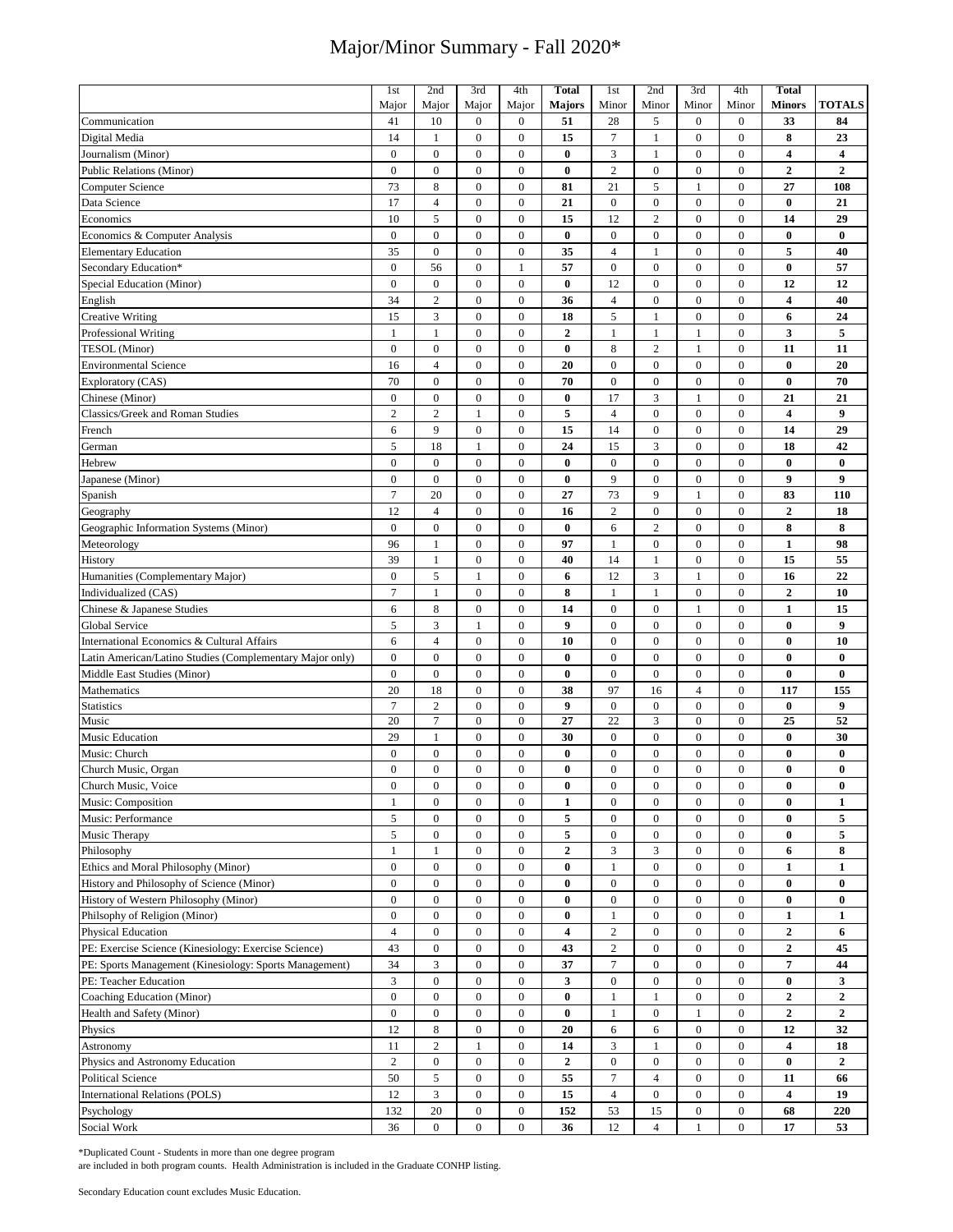|                                                          | 1 <sub>st</sub>  | 2nd              | 3rd              | 4th              | <b>Total</b>            | 1st              | 2nd              | 3rd              | 4th              | <b>Total</b>            |                         |
|----------------------------------------------------------|------------------|------------------|------------------|------------------|-------------------------|------------------|------------------|------------------|------------------|-------------------------|-------------------------|
|                                                          | Major            | Major            | Major            | Major            | <b>Majors</b>           | Minor            | Minor            | Minor            | Minor            | <b>Minors</b>           | <b>TOTALS</b>           |
| Communication                                            | 41               | 10               | $\boldsymbol{0}$ | $\boldsymbol{0}$ | 51                      | 28               | 5                | $\boldsymbol{0}$ | $\bf{0}$         | 33                      | 84                      |
|                                                          |                  |                  |                  |                  |                         |                  |                  |                  |                  |                         |                         |
| Digital Media                                            | 14               | $\mathbf{1}$     | $\boldsymbol{0}$ | $\boldsymbol{0}$ | 15                      | $\overline{7}$   | $\mathbf{1}$     | $\mathbf{0}$     | $\overline{0}$   | 8                       | 23                      |
| Journalism (Minor)                                       | $\overline{0}$   | $\boldsymbol{0}$ | $\boldsymbol{0}$ | $\boldsymbol{0}$ | $\bf{0}$                | $\mathfrak{Z}$   | $\mathbf{1}$     | $\boldsymbol{0}$ | $\boldsymbol{0}$ | $\overline{\mathbf{4}}$ | $\overline{\mathbf{4}}$ |
| <b>Public Relations (Minor)</b>                          | $\overline{0}$   | $\mathbf{0}$     | $\boldsymbol{0}$ | $\boldsymbol{0}$ | $\bf{0}$                | $\sqrt{2}$       | $\boldsymbol{0}$ | $\mathbf{0}$     | $\mathbf{0}$     | $\boldsymbol{2}$        | $\mathbf{2}$            |
| Computer Science                                         | 73               | $\,$ 8 $\,$      | $\boldsymbol{0}$ | $\boldsymbol{0}$ | 81                      | 21               | $\sqrt{5}$       | 1                | $\mathbf{0}$     | 27                      | 108                     |
| Data Science                                             | 17               | $\overline{4}$   | $\overline{0}$   | $\overline{0}$   | 21                      | $\boldsymbol{0}$ | $\overline{0}$   | $\overline{0}$   | $\overline{0}$   | $\bf{0}$                | 21                      |
| Economics                                                | 10               | 5                | $\boldsymbol{0}$ | $\boldsymbol{0}$ | 15                      | 12               | $\overline{c}$   | $\overline{0}$   | $\mathbf{0}$     | 14                      | 29                      |
|                                                          |                  |                  |                  |                  |                         |                  |                  |                  |                  |                         |                         |
| Economics & Computer Analysis                            | $\overline{0}$   | $\mathbf{0}$     | $\boldsymbol{0}$ | $\boldsymbol{0}$ | $\bf{0}$                | $\boldsymbol{0}$ | $\boldsymbol{0}$ | $\mathbf{0}$     | $\mathbf{0}$     | $\bf{0}$                | $\bf{0}$                |
| <b>Elementary Education</b>                              | 35               | $\overline{0}$   | $\mathbf{0}$     | $\overline{0}$   | 35                      | $\overline{4}$   | $\mathbf{1}$     | $\mathbf{0}$     | $\mathbf{0}$     | 5                       | 40                      |
| Secondary Education*                                     | $\overline{0}$   | 56               | $\overline{0}$   | 1                | 57                      | $\boldsymbol{0}$ | $\mathbf{0}$     | $\overline{0}$   | $\mathbf{0}$     | $\bf{0}$                | 57                      |
| Special Education (Minor)                                | $\boldsymbol{0}$ | $\boldsymbol{0}$ | $\boldsymbol{0}$ | $\boldsymbol{0}$ | $\bf{0}$                | 12               | $\boldsymbol{0}$ | $\mathbf{0}$     | $\mathbf{0}$     | 12                      | 12                      |
| English                                                  | 34               | $\overline{2}$   | $\boldsymbol{0}$ | $\boldsymbol{0}$ | 36                      | $\overline{4}$   | $\mathbf{0}$     | $\mathbf{0}$     | $\mathbf{0}$     | $\overline{\mathbf{4}}$ | 40                      |
| <b>Creative Writing</b>                                  | 15               | 3                | $\boldsymbol{0}$ | $\boldsymbol{0}$ | 18                      | 5                | 1                | $\mathbf{0}$     | $\mathbf{0}$     | 6                       | 24                      |
|                                                          | $\mathbf{1}$     | $\mathbf{1}$     | $\boldsymbol{0}$ | $\boldsymbol{0}$ | $\boldsymbol{2}$        | $\mathbf{1}$     | $\mathbf{1}$     | 1                | $\mathbf{0}$     | 3                       | 5                       |
| <b>Professional Writing</b>                              |                  |                  |                  |                  |                         |                  |                  |                  |                  |                         |                         |
| TESOL (Minor)                                            | $\overline{0}$   | $\boldsymbol{0}$ | $\boldsymbol{0}$ | $\boldsymbol{0}$ | $\bf{0}$                | 8                | $\overline{c}$   | $\mathbf{1}$     | $\mathbf{0}$     | 11                      | 11                      |
| <b>Environmental Science</b>                             | 16               | $\overline{4}$   | $\boldsymbol{0}$ | $\boldsymbol{0}$ | 20                      | $\boldsymbol{0}$ | $\boldsymbol{0}$ | $\mathbf{0}$     | $\mathbf{0}$     | $\bf{0}$                | 20                      |
| Exploratory (CAS)                                        | 70               | $\mathbf{0}$     | $\boldsymbol{0}$ | $\boldsymbol{0}$ | 70                      | $\boldsymbol{0}$ | $\boldsymbol{0}$ | $\mathbf{0}$     | $\mathbf{0}$     | $\bf{0}$                | 70                      |
| Chinese (Minor)                                          | $\overline{0}$   | $\boldsymbol{0}$ | $\boldsymbol{0}$ | $\boldsymbol{0}$ | $\bf{0}$                | 17               | 3                | $\mathbf{1}$     | $\mathbf{0}$     | 21                      | 21                      |
| Classics/Greek and Roman Studies                         | $\overline{c}$   | $\overline{c}$   | $\mathbf{1}$     | $\boldsymbol{0}$ | 5                       | $\overline{4}$   | $\boldsymbol{0}$ | $\boldsymbol{0}$ | $\mathbf{0}$     | $\overline{\mathbf{4}}$ | 9                       |
| French                                                   | 6                | 9                | $\boldsymbol{0}$ | $\boldsymbol{0}$ | 15                      | 14               | $\boldsymbol{0}$ | $\mathbf{0}$     | $\mathbf{0}$     | 14                      | 29                      |
|                                                          |                  |                  |                  |                  |                         |                  |                  |                  |                  |                         |                         |
| German                                                   | 5                | 18               | $\mathbf{1}$     | $\boldsymbol{0}$ | 24                      | 15               | 3                | $\mathbf{0}$     | $\boldsymbol{0}$ | 18                      | 42                      |
| Hebrew                                                   | $\boldsymbol{0}$ | $\boldsymbol{0}$ | $\boldsymbol{0}$ | $\boldsymbol{0}$ | $\bf{0}$                | $\boldsymbol{0}$ | $\mathbf{0}$     | $\overline{0}$   | $\mathbf{0}$     | $\bf{0}$                | $\bf{0}$                |
| Japanese (Minor)                                         | $\boldsymbol{0}$ | $\boldsymbol{0}$ | $\boldsymbol{0}$ | $\boldsymbol{0}$ | $\bf{0}$                | 9                | $\boldsymbol{0}$ | $\boldsymbol{0}$ | $\overline{0}$   | 9                       | 9                       |
| Spanish                                                  | $\overline{7}$   | 20               | $\boldsymbol{0}$ | $\boldsymbol{0}$ | 27                      | 73               | 9                | $\mathbf{1}$     | $\boldsymbol{0}$ | 83                      | 110                     |
| Geography                                                | 12               | $\overline{4}$   | $\boldsymbol{0}$ | $\boldsymbol{0}$ | 16                      | $\overline{2}$   | $\boldsymbol{0}$ | $\boldsymbol{0}$ | $\mathbf{0}$     | $\mathbf{2}$            | 18                      |
|                                                          | $\overline{0}$   | $\boldsymbol{0}$ | $\boldsymbol{0}$ | $\boldsymbol{0}$ | $\bf{0}$                | 6                | $\overline{2}$   | $\mathbf{0}$     | $\boldsymbol{0}$ | 8                       | 8                       |
| Geographic Information Systems (Minor)                   |                  |                  |                  |                  |                         |                  |                  |                  |                  |                         |                         |
| Meteorology                                              | 96               | $\mathbf{1}$     | $\boldsymbol{0}$ | $\boldsymbol{0}$ | 97                      | $\mathbf{1}$     | $\boldsymbol{0}$ | $\mathbf{0}$     | $\mathbf{0}$     | $\mathbf{1}$            | 98                      |
| History                                                  | 39               | $\mathbf{1}$     | $\boldsymbol{0}$ | $\boldsymbol{0}$ | 40                      | 14               | 1                | $\boldsymbol{0}$ | $\boldsymbol{0}$ | 15                      | 55                      |
| Humanities (Complementary Major)                         | $\mathbf{0}$     | 5                | 1                | $\overline{0}$   | 6                       | 12               | $\mathfrak{Z}$   | 1                | $\mathbf{0}$     | 16                      | 22                      |
| Individualized (CAS)                                     | $\tau$           | $\mathbf{1}$     | $\boldsymbol{0}$ | $\boldsymbol{0}$ | 8                       | $\mathbf{1}$     | $\mathbf{1}$     | $\boldsymbol{0}$ | $\boldsymbol{0}$ | $\overline{2}$          | 10                      |
| Chinese & Japanese Studies                               | 6                | $\,$ 8 $\,$      | $\boldsymbol{0}$ | $\overline{0}$   | 14                      | $\boldsymbol{0}$ | $\boldsymbol{0}$ | 1                | $\mathbf{0}$     | $\mathbf{1}$            | 15                      |
|                                                          | 5                | 3                | 1                | $\overline{0}$   | 9                       | $\boldsymbol{0}$ | $\boldsymbol{0}$ | $\mathbf{0}$     | $\boldsymbol{0}$ | $\bf{0}$                | $\boldsymbol{9}$        |
| Global Service                                           |                  |                  |                  |                  |                         |                  |                  |                  |                  |                         |                         |
| International Economics & Cultural Affairs               | 6                | $\overline{4}$   | $\mathbf{0}$     | $\overline{0}$   | 10                      | $\boldsymbol{0}$ | $\mathbf{0}$     | $\mathbf{0}$     | $\mathbf{0}$     | $\bf{0}$                | 10                      |
| Latin American/Latino Studies (Complementary Major only) | $\overline{0}$   | $\mathbf{0}$     | $\boldsymbol{0}$ | $\boldsymbol{0}$ | $\bf{0}$                | $\boldsymbol{0}$ | $\mathbf{0}$     | $\mathbf{0}$     | $\mathbf{0}$     | $\bf{0}$                | $\bf{0}$                |
| Middle East Studies (Minor)                              | $\overline{0}$   | $\mathbf{0}$     | $\overline{0}$   | $\mathbf{0}$     | $\bf{0}$                | $\boldsymbol{0}$ | $\mathbf{0}$     | $\mathbf{0}$     | $\mathbf{0}$     | $\bf{0}$                | $\bf{0}$                |
| Mathematics                                              | 20               | 18               | $\boldsymbol{0}$ | $\boldsymbol{0}$ | 38                      | 97               | 16               | $\overline{4}$   | $\mathbf{0}$     | 117                     | 155                     |
| <b>Statistics</b>                                        | $\overline{7}$   | $\overline{c}$   | $\boldsymbol{0}$ | $\boldsymbol{0}$ | 9                       | $\boldsymbol{0}$ | $\boldsymbol{0}$ | $\mathbf{0}$     | $\mathbf{0}$     | $\bf{0}$                | 9                       |
| Music                                                    | 20               | $\tau$           | $\boldsymbol{0}$ | $\mathbf{0}$     | 27                      | 22               | 3                | $\overline{0}$   | $\mathbf{0}$     | 25                      | 52                      |
| <b>Music Education</b>                                   | 29               | $\mathbf{1}$     | $\boldsymbol{0}$ | $\boldsymbol{0}$ | 30                      | $\boldsymbol{0}$ | $\boldsymbol{0}$ | $\boldsymbol{0}$ | $\boldsymbol{0}$ | $\bf{0}$                | 30                      |
|                                                          |                  |                  |                  |                  |                         |                  |                  |                  |                  |                         |                         |
| Music: Church                                            | $\overline{0}$   | $\boldsymbol{0}$ | $\overline{0}$   | $\mathbf{0}$     | $\bf{0}$                | $\boldsymbol{0}$ | $\mathbf{0}$     | $\mathbf{0}$     | $\overline{0}$   | $\bf{0}$                | $\bf{0}$                |
| Church Music, Organ                                      | $\overline{0}$   | $\mathbf{0}$     | $\overline{0}$   | $\overline{0}$   | $\bf{0}$                | $\mathbf{0}$     | $\mathbf{0}$     | $\mathbf{0}$     | $\mathbf{0}$     | $\bf{0}$                | $\bf{0}$                |
| Church Music, Voice                                      | $\boldsymbol{0}$ | $\boldsymbol{0}$ | $\boldsymbol{0}$ | $\boldsymbol{0}$ | $\boldsymbol{0}$        | $\boldsymbol{0}$ | $\boldsymbol{0}$ | $\boldsymbol{0}$ | $\boldsymbol{0}$ | $\bf{0}$                | $\pmb{0}$               |
| Music: Composition                                       | 1                | $\boldsymbol{0}$ | $\boldsymbol{0}$ | $\boldsymbol{0}$ | $\mathbf{1}$            | $\boldsymbol{0}$ | $\boldsymbol{0}$ | $\mathbf{0}$     | $\overline{0}$   | $\bf{0}$                | $\mathbf{1}$            |
| Music: Performance                                       | 5                | $\boldsymbol{0}$ | $\boldsymbol{0}$ | $\boldsymbol{0}$ | 5                       | $\boldsymbol{0}$ | $\boldsymbol{0}$ | $\boldsymbol{0}$ | $\boldsymbol{0}$ | $\bf{0}$                | 5                       |
| Music Therapy                                            | 5                | $\boldsymbol{0}$ | $\boldsymbol{0}$ | $\boldsymbol{0}$ | 5                       | $\boldsymbol{0}$ | $\boldsymbol{0}$ | $\boldsymbol{0}$ | $\bf{0}$         | $\bf{0}$                | 5                       |
| Philosophy                                               | $\mathbf{1}$     | $\mathbf{1}$     | $\boldsymbol{0}$ | $\boldsymbol{0}$ | $\boldsymbol{2}$        | 3                | 3                | $\boldsymbol{0}$ | $\boldsymbol{0}$ | 6                       | 8                       |
|                                                          |                  |                  |                  |                  |                         |                  |                  |                  |                  |                         |                         |
| Ethics and Moral Philosophy (Minor)                      | $\boldsymbol{0}$ | $\boldsymbol{0}$ | $\boldsymbol{0}$ | $\boldsymbol{0}$ | $\bf{0}$                | $\mathbf{1}$     | $\boldsymbol{0}$ | $\boldsymbol{0}$ | $\bf{0}$         | $\mathbf{1}$            | $\mathbf{1}$            |
| History and Philosophy of Science (Minor)                | $\boldsymbol{0}$ | $\boldsymbol{0}$ | $\boldsymbol{0}$ | $\boldsymbol{0}$ | $\bf{0}$                | $\boldsymbol{0}$ | $\boldsymbol{0}$ | $\boldsymbol{0}$ | $\boldsymbol{0}$ | $\bf{0}$                | $\bf{0}$                |
| History of Western Philosophy (Minor)                    | $\boldsymbol{0}$ | $\boldsymbol{0}$ | $\boldsymbol{0}$ | $\boldsymbol{0}$ | $\bf{0}$                | $\boldsymbol{0}$ | $\boldsymbol{0}$ | $\boldsymbol{0}$ | $\boldsymbol{0}$ | $\bf{0}$                | $\bf{0}$                |
| Philsophy of Religion (Minor)                            | $\boldsymbol{0}$ | $\boldsymbol{0}$ | $\boldsymbol{0}$ | $\boldsymbol{0}$ | $\bf{0}$                | $\mathbf{1}$     | $\boldsymbol{0}$ | $\boldsymbol{0}$ | $\boldsymbol{0}$ | $\mathbf{1}$            | 1                       |
| <b>Physical Education</b>                                | $\overline{4}$   | $\boldsymbol{0}$ | $\boldsymbol{0}$ | $\mathbf{0}$     | $\overline{\mathbf{4}}$ | $\overline{c}$   | $\boldsymbol{0}$ | $\boldsymbol{0}$ | $\bf{0}$         | $\overline{2}$          | 6                       |
| PE: Exercise Science (Kinesiology: Exercise Science)     | 43               | $\boldsymbol{0}$ | $\boldsymbol{0}$ | $\boldsymbol{0}$ | 43                      | $\sqrt{2}$       | $\boldsymbol{0}$ | $\boldsymbol{0}$ | $\boldsymbol{0}$ | $\boldsymbol{2}$        | 45                      |
|                                                          |                  |                  |                  |                  |                         |                  |                  |                  |                  |                         |                         |
| PE: Sports Management (Kinesiology: Sports Management)   | 34               | 3                | $\boldsymbol{0}$ | $\boldsymbol{0}$ | 37                      | $\tau$           | $\boldsymbol{0}$ | $\boldsymbol{0}$ | $\boldsymbol{0}$ | 7                       | 44                      |
| PE: Teacher Education                                    | 3                | $\boldsymbol{0}$ | $\boldsymbol{0}$ | $\boldsymbol{0}$ | 3                       | $\boldsymbol{0}$ | $\boldsymbol{0}$ | $\boldsymbol{0}$ | $\boldsymbol{0}$ | $\bf{0}$                | 3                       |
| Coaching Education (Minor)                               | $\boldsymbol{0}$ | $\boldsymbol{0}$ | $\boldsymbol{0}$ | $\boldsymbol{0}$ | $\bf{0}$                | $\mathbf{1}$     | $\mathbf{1}$     | $\boldsymbol{0}$ | $\boldsymbol{0}$ | $\overline{2}$          | $\overline{2}$          |
| Health and Safety (Minor)                                | $\boldsymbol{0}$ | $\boldsymbol{0}$ | $\boldsymbol{0}$ | $\boldsymbol{0}$ | $\bf{0}$                | $\mathbf{1}$     | $\boldsymbol{0}$ | $\mathbf{1}$     | $\boldsymbol{0}$ | $\mathbf{2}$            | $\boldsymbol{2}$        |
| Physics                                                  | 12               | $\,8\,$          | $\boldsymbol{0}$ | $\overline{0}$   | 20                      | 6                | 6                | $\boldsymbol{0}$ | $\boldsymbol{0}$ | 12                      | 32                      |
| Astronomy                                                | 11               | $\sqrt{2}$       | $\mathbf{1}$     | $\boldsymbol{0}$ | 14                      | $\mathfrak{Z}$   | 1                | $\boldsymbol{0}$ | $\boldsymbol{0}$ | 4                       | 18                      |
|                                                          | $\overline{c}$   | $\boldsymbol{0}$ |                  |                  |                         | $\boldsymbol{0}$ |                  |                  |                  |                         | $\overline{2}$          |
| Physics and Astronomy Education                          |                  |                  | $\boldsymbol{0}$ | $\boldsymbol{0}$ | $\mathbf{2}$            |                  | $\boldsymbol{0}$ | $\boldsymbol{0}$ | $\overline{0}$   | $\bf{0}$                |                         |
| <b>Political Science</b>                                 | 50               | 5                | $\boldsymbol{0}$ | $\boldsymbol{0}$ | 55                      | $\tau$           | $\overline{4}$   | $\boldsymbol{0}$ | $\bf{0}$         | 11                      | 66                      |
| International Relations (POLS)                           | 12               | $\mathfrak{Z}$   | $\boldsymbol{0}$ | $\boldsymbol{0}$ | 15                      | $\overline{4}$   | $\boldsymbol{0}$ | $\boldsymbol{0}$ | $\boldsymbol{0}$ | 4                       | 19                      |
| Psychology                                               | 132              | $20\,$           | $\boldsymbol{0}$ | $\boldsymbol{0}$ | 152                     | 53               | 15               | $\boldsymbol{0}$ | $\boldsymbol{0}$ | 68                      | 220                     |
| Social Work                                              | 36               | $\boldsymbol{0}$ | $\boldsymbol{0}$ | $\boldsymbol{0}$ | 36                      | 12               | $\overline{4}$   | 1                | $\overline{0}$   | 17                      | 53                      |

\*Duplicated Count - Students in more than one degree program